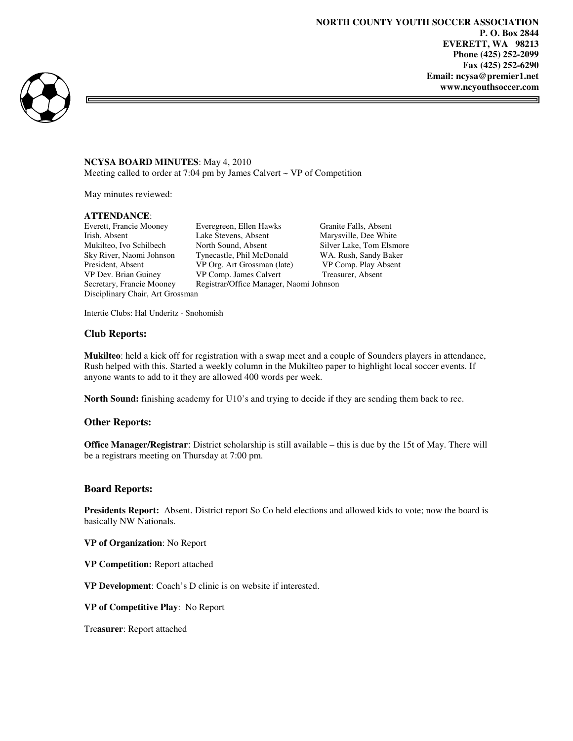ᆿ



### **NCYSA BOARD MINUTES**: May 4, 2010

Meeting called to order at  $7:04$  pm by James Calvert  $\sim$  VP of Competition

May minutes reviewed:

#### **ATTENDANCE**:

Disciplinary Chair, Art Grossman

Everett, Francie Mooney Everegreen, Ellen Hawks Granite Falls, Absent<br>
Irish, Absent Lake Stevens, Absent Marysville, Dee Whit Irish, Absent Lake Stevens, Absent Marysville, Dee White Mukilteo, Ivo Schilbech North Sound, Absent Silver Lake. Tom Elsm Mukilteo, Ivo Schilbech North Sound, Absent Silver Lake, Tom Elsmore Sky River, Naomi Johnson Tynecastle, Phil McDonald WA. Rush, Sandy Baker President, Absent VP Org. Art Grossman (late) VP Comp. Play Absent VP Dev. Brian Guiney VP Comp. James Calvert Treasurer, Absent Secretary, Francie Mooney Registrar/Office Manager, Naomi Johnson

Intertie Clubs: Hal Underitz - Snohomish

## **Club Reports:**

**Mukilteo**: held a kick off for registration with a swap meet and a couple of Sounders players in attendance, Rush helped with this. Started a weekly column in the Mukilteo paper to highlight local soccer events. If anyone wants to add to it they are allowed 400 words per week.

**North Sound:** finishing academy for U10's and trying to decide if they are sending them back to rec.

# **Other Reports:**

**Office Manager/Registrar**: District scholarship is still available – this is due by the 15t of May. There will be a registrars meeting on Thursday at 7:00 pm.

#### **Board Reports:**

**Presidents Report:** Absent. District report So Co held elections and allowed kids to vote; now the board is basically NW Nationals.

**VP of Organization**: No Report

**VP Competition:** Report attached

**VP Development**: Coach's D clinic is on website if interested.

**VP of Competitive Play**: No Report

Tre**asurer**: Report attached